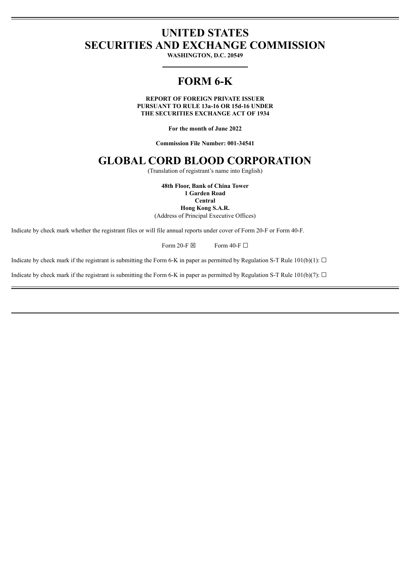## **UNITED STATES SECURITIES AND EXCHANGE COMMISSION**

**WASHINGTON, D.C. 20549**

# **FORM 6-K**

**REPORT OF FOREIGN PRIVATE ISSUER PURSUANT TO RULE 13a-16 OR 15d-16 UNDER THE SECURITIES EXCHANGE ACT OF 1934**

**For the month of June 2022**

**Commission File Number: 001-34541**

## **GLOBAL CORD BLOOD CORPORATION**

(Translation of registrant's name into English)

**48th Floor, Bank of China Tower**

**1 Garden Road Central**

**Hong Kong S.A.R.**

(Address of Principal Executive Offices)

Indicate by check mark whether the registrant files or will file annual reports under cover of Form 20-F or Form 40-F.

Form 20-F  $\boxtimes$  Form 40-F  $\Box$ 

Indicate by check mark if the registrant is submitting the Form 6-K in paper as permitted by Regulation S-T Rule  $101(b)(1)$ :  $\Box$ 

Indicate by check mark if the registrant is submitting the Form 6-K in paper as permitted by Regulation S-T Rule 101(b)(7):  $\Box$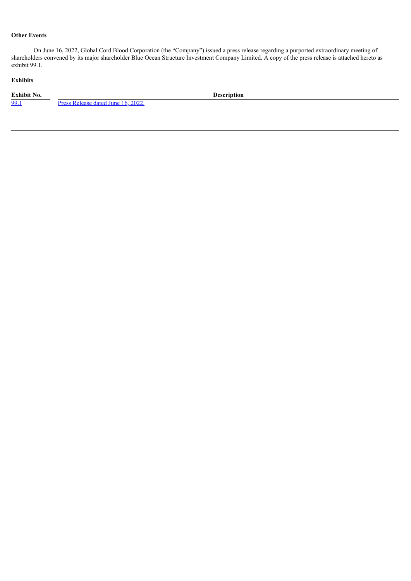## **Other Events**

On June 16, 2022, Global Cord Blood Corporation (the "Company") issued a press release regarding a purported extraordinary meeting of shareholders convened by its major shareholder Blue Ocean Structure Investment Company Limited. A copy of the press release is attached hereto as exhibit 99.1.

## **Exhibits**

**Exhibit No. Description**<br><u>**Press Release dated June 16, 2022. Description**</u> Press [Release](#page-3-0) dated June 16, 2022.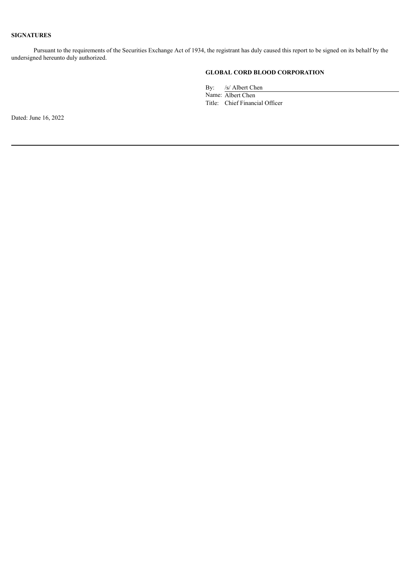## **SIGNATURES**

Pursuant to the requirements of the Securities Exchange Act of 1934, the registrant has duly caused this report to be signed on its behalf by the undersigned hereunto duly authorized.

## **GLOBAL CORD BLOOD CORPORATION**

By: /s/ Albert Chen

Name: Albert Chen Title: Chief Financial Officer

Dated: June 16, 2022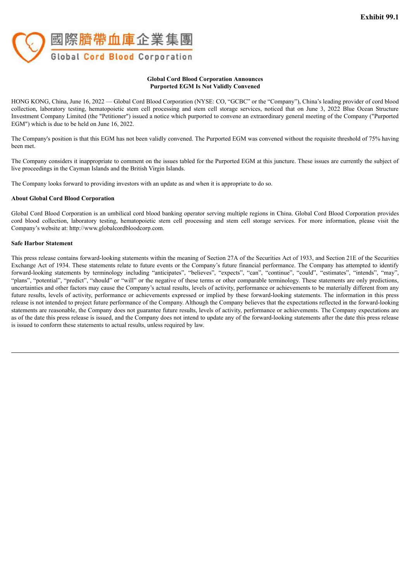<span id="page-3-0"></span>

#### **Global Cord Blood Corporation Announces Purported EGM Is Not Validly Convened**

HONG KONG, China, June 16, 2022 — Global Cord Blood Corporation (NYSE: CO, "GCBC" or the "Company"), China's leading provider of cord blood collection, laboratory testing, hematopoietic stem cell processing and stem cell storage services, noticed that on June 3, 2022 Blue Ocean Structure Investment Company Limited (the "Petitioner") issued a notice which purported to convene an extraordinary general meeting of the Company ("Purported EGM") which is due to be held on June 16, 2022.

The Company's position is that this EGM has not been validly convened. The Purported EGM was convened without the requisite threshold of 75% having been met.

The Company considers it inappropriate to comment on the issues tabled for the Purported EGM at this juncture. These issues are currently the subject of live proceedings in the Cayman Islands and the British Virgin Islands.

The Company looks forward to providing investors with an update as and when it is appropriate to do so.

#### **About Global Cord Blood Corporation**

Global Cord Blood Corporation is an umbilical cord blood banking operator serving multiple regions in China. Global Cord Blood Corporation provides cord blood collection, laboratory testing, hematopoietic stem cell processing and stem cell storage services. For more information, please visit the Company's website at: http://www.globalcordbloodcorp.com.

#### **Safe Harbor Statement**

This press release contains forward-looking statements within the meaning of Section 27A of the Securities Act of 1933, and Section 21E of the Securities Exchange Act of 1934. These statements relate to future events or the Company's future financial performance. The Company has attempted to identify forward-looking statements by terminology including "anticipates", "believes", "expects", "can", "continue", "could", "estimates", "intends", "may", "plans", "potential", "predict", "should" or "will" or the negative of these terms or other comparable terminology. These statements are only predictions, uncertainties and other factors may cause the Company's actual results, levels of activity, performance or achievements to be materially different from any future results, levels of activity, performance or achievements expressed or implied by these forward-looking statements. The information in this press release is not intended to project future performance of the Company. Although the Company believes that the expectations reflected in the forward-looking statements are reasonable, the Company does not guarantee future results, levels of activity, performance or achievements. The Company expectations are as of the date this press release is issued, and the Company does not intend to update any of the forward-looking statements after the date this press release is issued to conform these statements to actual results, unless required by law.